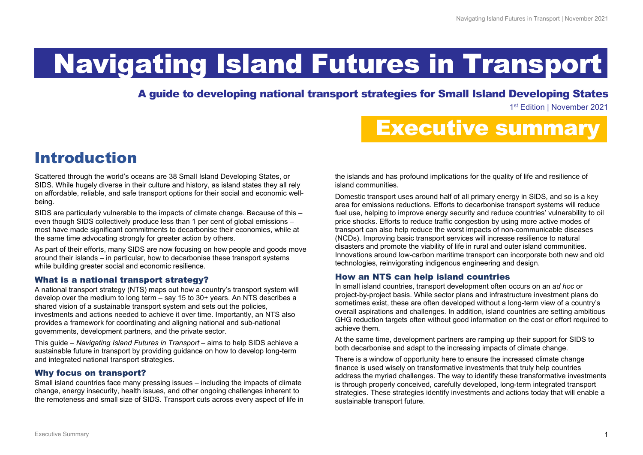# Navigating Island Futures in Transport

A guide to developing national transport strategies for Small Island Developing States

1st Edition | November 2021

## Executive summary

## Introduction

Scattered through the world's oceans are 38 Small Island Developing States, or SIDS. While hugely diverse in their culture and history, as island states they all rely on affordable, reliable, and safe transport options for their social and economic wellbeing.

SIDS are particularly vulnerable to the impacts of climate change. Because of this – even though SIDS collectively produce less than 1 per cent of global emissions – most have made significant commitments to decarbonise their economies, while at the same time advocating strongly for greater action by others.

As part of their efforts, many SIDS are now focusing on how people and goods move around their islands – in particular, how to decarbonise these transport systems while building greater social and economic resilience.

## What is a national transport strategy?

A national transport strategy (NTS) maps out how a country's transport system will develop over the medium to long term – say 15 to 30+ years. An NTS describes a shared vision of a sustainable transport system and sets out the policies, investments and actions needed to achieve it over time. Importantly, an NTS also provides a framework for coordinating and aligning national and sub-national governments, development partners, and the private sector.

This guide – *Navigating Island Futures in Transport* – aims to help SIDS achieve a sustainable future in transport by providing guidance on how to develop long-term and integrated national transport strategies.

### Why focus on transport?

Small island countries face many pressing issues – including the impacts of climate change, energy insecurity, health issues, and other ongoing challenges inherent to the remoteness and small size of SIDS. Transport cuts across every aspect of life in the islands and has profound implications for the quality of life and resilience of island communities.

Domestic transport uses around half of all primary energy in SIDS, and so is a key area for emissions reductions. Efforts to decarbonise transport systems will reduce fuel use, helping to improve energy security and reduce countries' vulnerability to oil price shocks. Efforts to reduce traffic congestion by using more active modes of transport can also help reduce the worst impacts of non-communicable diseases (NCDs). Improving basic transport services will increase resilience to natural disasters and promote the viability of life in rural and outer island communities. Innovations around low-carbon maritime transport can incorporate both new and old technologies, reinvigorating indigenous engineering and design.

## How an NTS can help island countries

In small island countries, transport development often occurs on an *ad hoc* or project-by-project basis. While sector plans and infrastructure investment plans do sometimes exist, these are often developed without a long-term view of a country's overall aspirations and challenges. In addition, island countries are setting ambitious GHG reduction targets often without good information on the cost or effort required to achieve them.

At the same time, development partners are ramping up their support for SIDS to both decarbonise and adapt to the increasing impacts of climate change.

There is a window of opportunity here to ensure the increased climate change finance is used wisely on transformative investments that truly help countries address the myriad challenges. The way to identify these transformative investments is through properly conceived, carefully developed, long-term integrated transport strategies. These strategies identify investments and actions today that will enable a sustainable transport future.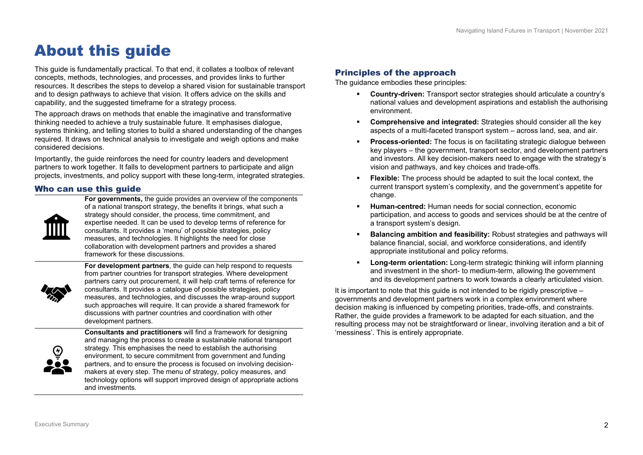## About this guide

This guide is fundamentally practical. To that end, it collates a toolbox of relevant concepts, methods, technologies, and processes, and provides links to further resources. It describes the steps to develop a shared vision for sustainable transport and to design pathways to achieve that vision. It offers advice on the skills and capability, and the suggested timeframe for a strategy process.

The approach draws on methods that enable the imaginative and transformative thinking needed to achieve a truly sustainable future. It emphasises dialogue, systems thinking, and telling stories to build a shared understanding of the changes required. It draws on technical analysis to investigate and weigh options and make considered decisions.

Importantly, the guide reinforces the need for country leaders and development partners to work together. It falls to development partners to participate and align projects, investments, and policy support with these long-term, integrated strategies.

## Who can use this guide



**For governments,** the quide provides an overview of the components of a national transport strategy, the benefits it brings, what such a strategy should consider, the process, time commitment, and expertise needed. It can be used to develop terms of reference for consultants. It provides a 'menu' of possible strategies, policy measures, and technologies. It highlights the need for close collaboration with development partners and provides a shared framework for these discussions.



**For development partners**, the guide can help respond to requests from partner countries for transport strategies. Where development partners carry out procurement, it will help craft terms of reference for consultants. It provides a catalogue of possible strategies, policy measures, and technologies, and discusses the wrap-around support such approaches will require. It can provide a shared framework for discussions with partner countries and coordination with other development partners.



**Consultants and practitioners** will find a framework for designing and managing the process to create a sustainable national transport strategy. This emphasises the need to establish the authorising environment, to secure commitment from government and funding partners, and to ensure the process is focused on involving decisionmakers at every step. The menu of strategy, policy measures, and technology options will support improved design of appropriate actions and investments.

## Principles of the approach

The guidance embodies these principles:

- **Country-driven:** Transport sector strategies should articulate a country's national values and development aspirations and establish the authorising environment.
- **Comprehensive and integrated:** Strategies should consider all the key aspects of a multi-faceted transport system – across land, sea, and air.
- **Process-oriented:** The focus is on facilitating strategic dialogue between key players – the government, transport sector, and development partners and investors. All key decision-makers need to engage with the strategy's vision and pathways, and key choices and trade-offs.
- **Flexible:** The process should be adapted to suit the local context, the current transport system's complexity, and the government's appetite for change.
- **Human-centred:** Human needs for social connection, economic participation, and access to goods and services should be at the centre of a transport system's design.
- **Balancing ambition and feasibility:** Robust strategies and pathways will balance financial, social, and workforce considerations, and identify appropriate institutional and policy reforms.
- **Long-term orientation:** Long-term strategic thinking will inform planning and investment in the short- to medium-term, allowing the government and its development partners to work towards a clearly articulated vision.

It is important to note that this quide is not intended to be rigidly prescriptive  $$ governments and development partners work in a complex environment where decision making is influenced by competing priorities, trade-offs, and constraints. Rather, the guide provides a framework to be adapted for each situation, and the resulting process may not be straightforward or linear, involving iteration and a bit of 'messiness'. This is entirely appropriate.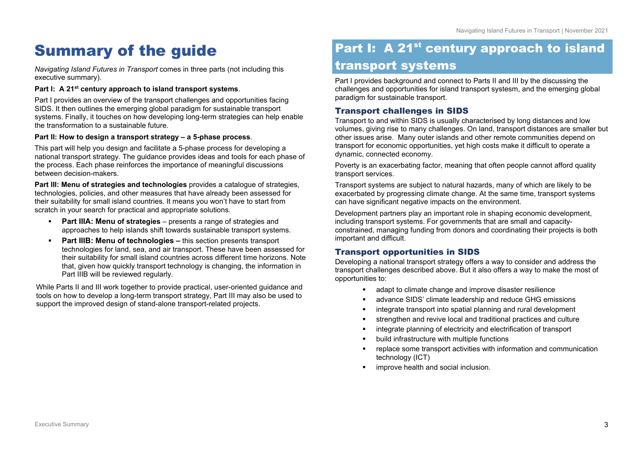## Summary of the guide

*Navigating Island Futures in Transport* comes in three parts (not including this executive summary).

#### **Part I: A 21st century approach to island transport systems**.

Part I provides an overview of the transport challenges and opportunities facing SIDS. It then outlines the emerging global paradigm for sustainable transport systems. Finally, it touches on how developing long-term strategies can help enable the transformation to a sustainable future.

#### **Part II: How to design a transport strategy – a 5-phase process**.

This part will help you design and facilitate a 5-phase process for developing a national transport strategy. The guidance provides ideas and tools for each phase of the process. Each phase reinforces the importance of meaningful discussions between decision-makers.

**Part III: Menu of strategies and technologies** provides a catalogue of strategies, technologies, policies, and other measures that have already been assessed for their suitability for small island countries. It means you won't have to start from scratch in your search for practical and appropriate solutions.

- **Part IIIA: Menu of strategies** presents a range of strategies and approaches to help islands shift towards sustainable transport systems.
- **Part IIIB: Menu of technologies –** this section presents transport technologies for land, sea, and air transport. These have been assessed for their suitability for small island countries across different time horizons. Note that, given how quickly transport technology is changing, the information in Part IIIB will be reviewed regularly.

While Parts II and III work together to provide practical, user-oriented guidance and tools on how to develop a long-term transport strategy, Part III may also be used to support the improved design of stand-alone transport-related projects.

## Part I: A 21<sup>st</sup> century approach to island transport systems

Part I provides background and connect to Parts II and III by the discussing the challenges and opportunities for island transport systesm, and the emerging global paradigm for sustainable transport.

### Transport challenges in SIDS

Transport to and within SIDS is usually characterised by long distances and low volumes, giving rise to many challenges. On land, transport distances are smaller but other issues arise. Many outer islands and other remote communities depend on transport for economic opportunities, yet high costs make it difficult to operate a dynamic, connected economy.

Poverty is an exacerbating factor, meaning that often people cannot afford quality transport services.

Transport systems are subject to natural hazards, many of which are likely to be exacerbated by progressing climate change. At the same time, transport systems can have significant negative impacts on the environment.

Development partners play an important role in shaping economic development, including transport systems. For governments that are small and capacityconstrained, managing funding from donors and coordinating their projects is both important and difficult.

### Transport opportunities in SIDS

Developing a national transport strategy offers a way to consider and address the transport challenges described above. But it also offers a way to make the most of opportunities to:

- adapt to climate change and improve disaster resilience
- advance SIDS' climate leadership and reduce GHG emissions
- integrate transport into spatial planning and rural development
- strengthen and revive local and traditional practices and culture
- integrate planning of electricity and electrification of transport
- build infrastructure with multiple functions
- **•** replace some transport activities with information and communication technology (ICT)
- **If** improve health and social inclusion.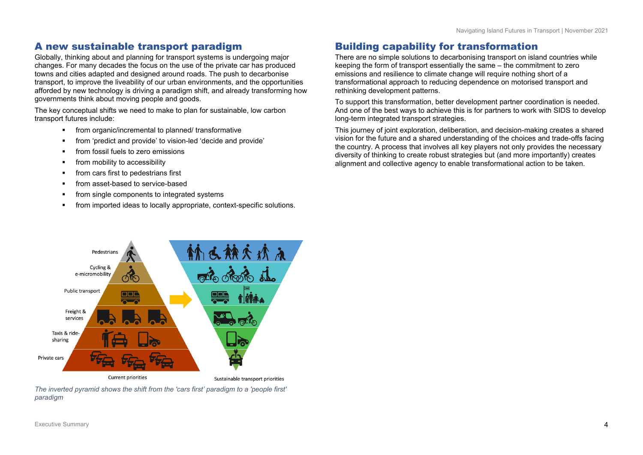## A new sustainable transport paradigm

Globally, thinking about and planning for transport systems is undergoing major changes. For many decades the focus on the use of the private car has produced towns and cities adapted and designed around roads. The push to decarbonise transport, to improve the liveability of our urban environments, and the opportunities afforded by new technology is driving a paradigm shift, and already transforming how governments think about moving people and goods.

The key conceptual shifts we need to make to plan for sustainable, low carbon transport futures include:

- **from organic/incremental to planned/ transformative**
- from 'predict and provide' to vision-led 'decide and provide'
- **•** from fossil fuels to zero emissions
- from mobility to accessibility
- from cars first to pedestrians first
- from asset-based to service-based
- from single components to integrated systems
- from imported ideas to locally appropriate, context-specific solutions.

## Building capability for transformation

There are no simple solutions to decarbonising transport on island countries while keeping the form of transport essentially the same – the commitment to zero emissions and resilience to climate change will require nothing short of a transformational approach to reducing dependence on motorised transport and rethinking development patterns.

To support this transformation, better development partner coordination is needed. And one of the best ways to achieve this is for partners to work with SIDS to develop long-term integrated transport strategies.

This journey of joint exploration, deliberation, and decision-making creates a shared vision for the future and a shared understanding of the choices and trade-offs facing the country. A process that involves all key players not only provides the necessary diversity of thinking to create robust strategies but (and more importantly) creates alignment and collective agency to enable transformational action to be taken.



*The inverted pyramid shows the shift from the 'cars first' paradigm to a 'people first' paradigm*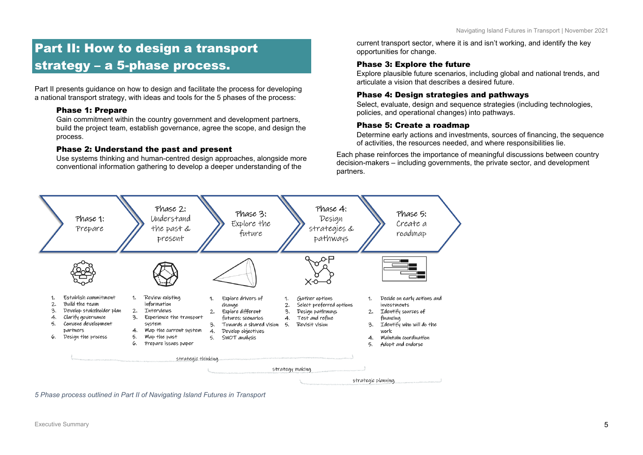## Part II: How to design a transport strategy – a 5-phase process.

Part II presents guidance on how to design and facilitate the process for developing a national transport strategy, with ideas and tools for the 5 phases of the process:

## Phase 1: Prepare

Gain commitment within the country government and development partners, build the project team, establish governance, agree the scope, and design the process.

## Phase 2: Understand the past and present

Use systems thinking and human-centred design approaches, alongside more conventional information gathering to develop a deeper understanding of the

current transport sector, where it is and isn't working, and identify the key opportunities for change.

## Phase 3: Explore the future

Explore plausible future scenarios, including global and national trends, and articulate a vision that describes a desired future.

## Phase 4: Design strategies and pathways

Select, evaluate, design and sequence strategies (including technologies, policies, and operational changes) into pathways.

## Phase 5: Create a roadmap

Determine early actions and investments, sources of financing, the sequence of activities, the resources needed, and where responsibilities lie.

Each phase reinforces the importance of meaningful discussions between country decision-makers – including governments, the private sector, and development partners.



*5 Phase process outlined in Part II of Navigating Island Futures in Transport*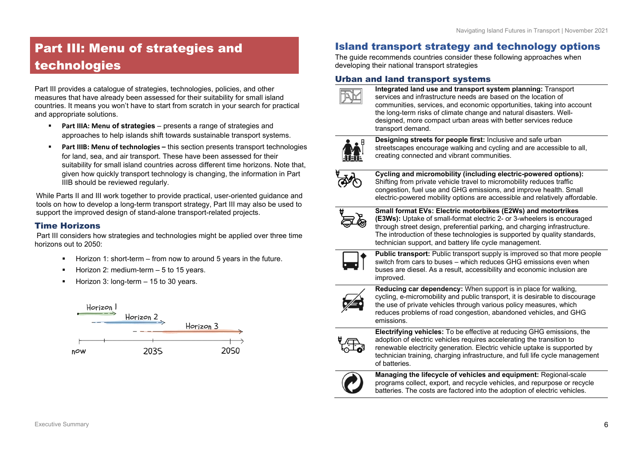## Part III: Menu of strategies and technologies

Part III provides a catalogue of strategies, technologies, policies, and other measures that have already been assessed for their suitability for small island countries. It means you won't have to start from scratch in your search for practical and appropriate solutions.

- **Part IIIA: Menu of strategies** presents a range of strategies and approaches to help islands shift towards sustainable transport systems.
- **Part IIIB: Menu of technologies –** this section presents transport technologies for land, sea, and air transport. These have been assessed for their suitability for small island countries across different time horizons. Note that, given how quickly transport technology is changing, the information in Part IIIB should be reviewed regularly.

While Parts II and III work together to provide practical, user-oriented guidance and tools on how to develop a long-term transport strategy, Part III may also be used to support the improved design of stand-alone transport-related projects.

### Time Horizons

Part III considers how strategies and technologies might be applied over three time horizons out to 2050:

- Horizon 1: short-term from now to around 5 years in the future.
- Horizon 2: medium-term 5 to 15 years.
- Horizon 3: long-term 15 to 30 years.



## Island transport strategy and technology options

The guide recommends countries consider these following approaches when developing their national transport strategies

## Urban and land transport systems



**Integrated land use and transport system planning:** Transport services and infrastructure needs are based on the location of communities, services, and economic opportunities, taking into account the long-term risks of climate change and natural disasters. Welldesigned, more compact urban areas with better services reduce transport demand.



**Designing streets for people first:** Inclusive and safe urban streetscapes encourage walking and cycling and are accessible to all, creating connected and vibrant communities.



**Cycling and micromobility (including electric-powered options):** Shifting from private vehicle travel to micromobility reduces traffic congestion, fuel use and GHG emissions, and improve health. Small electric-powered mobility options are accessible and relatively affordable.



**Small format EVs: Electric motorbikes (E2Ws) and motortrikes (E3Ws):** Uptake of small-format electric 2- or 3-wheelers is encouraged

through street design, preferential parking, and charging infrastructure. The introduction of these technologies is supported by quality standards, technician support, and battery life cycle management.



**Public transport:** Public transport supply is improved so that more people switch from cars to buses – which reduces GHG emissions even when buses are diesel. As a result, accessibility and economic inclusion are improved.



**Reducing car dependency:** When support is in place for walking, cycling, e-micromobility and public transport, it is desirable to discourage the use of private vehicles through various policy measures, which reduces problems of road congestion, abandoned vehicles, and GHG emissions.



**Electrifying vehicles:** To be effective at reducing GHG emissions, the adoption of electric vehicles requires accelerating the transition to renewable electricity generation. Electric vehicle uptake is supported by technician training, charging infrastructure, and full life cycle management of batteries.



**Managing the lifecycle of vehicles and equipment:** Regional-scale programs collect, export, and recycle vehicles, and repurpose or recycle batteries. The costs are factored into the adoption of electric vehicles.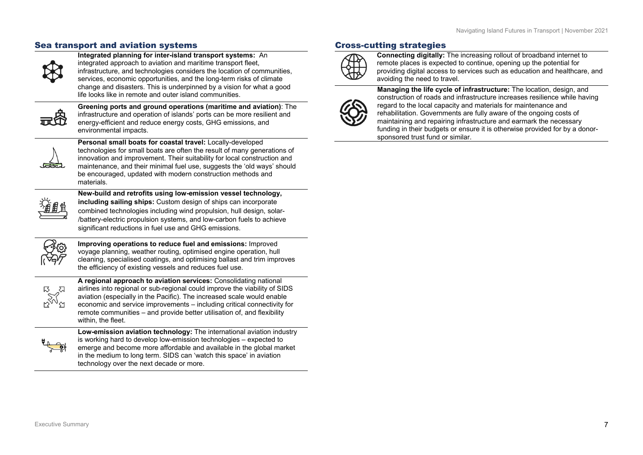#### Sea transport and aviation systems



**Integrated planning for inter-island transport systems:** An integrated approach to aviation and maritime transport fleet, infrastructure, and technologies considers the location of communities, services, economic opportunities, and the long-term risks of climate change and disasters. This is underpinned by a vision for what a good life looks like in remote and outer island communities.



**Greening ports and ground operations (maritime and aviation)**: The infrastructure and operation of islands' ports can be more resilient and energy-efficient and reduce energy costs, GHG emissions, and environmental impacts.



**Personal small boats for coastal travel:** Locally-developed technologies for small boats are often the result of many generations of innovation and improvement. Their suitability for local construction and maintenance, and their minimal fuel use, suggests the 'old ways' should be encouraged, updated with modern construction methods and materials.



**New-build and retrofits using low-emission vessel technology, including sailing ships:** Custom design of ships can incorporate combined technologies including wind propulsion, hull design, solar- /battery-electric propulsion systems, and low-carbon fuels to achieve significant reductions in fuel use and GHG emissions.



**Improving operations to reduce fuel and emissions:** Improved voyage planning, weather routing, optimised engine operation, hull cleaning, specialised coatings, and optimising ballast and trim improves the efficiency of existing vessels and reduces fuel use.



**A regional approach to aviation services:** Consolidating national airlines into regional or sub-regional could improve the viability of SIDS aviation (especially in the Pacific). The increased scale would enable economic and service improvements – including critical connectivity for remote communities – and provide better utilisation of, and flexibility within, the fleet.



**Low-emission aviation technology:** The international aviation industry is working hard to develop low-emission technologies – expected to emerge and become more affordable and available in the global market in the medium to long term. SIDS can 'watch this space' in aviation technology over the next decade or more.

#### Cross-cutting strategies



**Connecting digitally:** The increasing rollout of broadband internet to remote places is expected to continue, opening up the potential for providing digital access to services such as education and healthcare, and avoiding the need to travel.



**Managing the life cycle of infrastructure:** The location, design, and construction of roads and infrastructure increases resilience while having regard to the local capacity and materials for maintenance and rehabilitation. Governments are fully aware of the ongoing costs of maintaining and repairing infrastructure and earmark the necessary funding in their budgets or ensure it is otherwise provided for by a donorsponsored trust fund or similar.